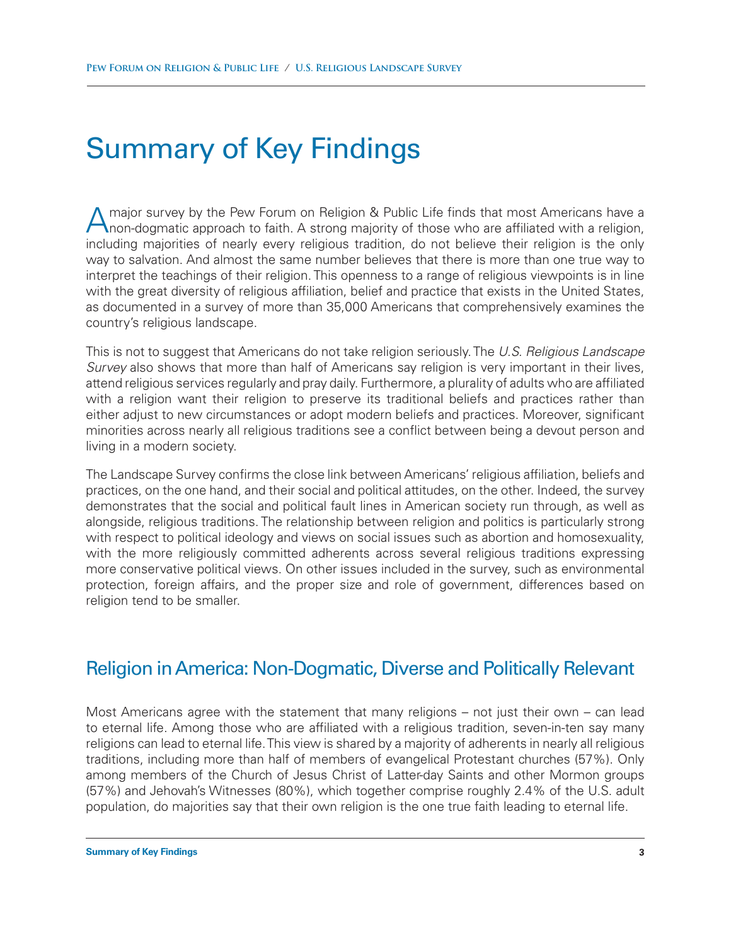# Summary of Key Findings

A major survey by the Pew Forum on Religion & Public Life finds that most Americans have a non-dogmatic approach to faith. A strong majority of those who are affiliated with a religion, including majorities of nearly every religious tradition, do not believe their religion is the only way to salvation. And almost the same number believes that there is more than one true way to interpret the teachings of their religion. This openness to a range of religious viewpoints is in line with the great diversity of religious affiliation, belief and practice that exists in the United States, as documented in a survey of more than 35,000 Americans that comprehensively examines the country's religious landscape.

This is not to suggest that Americans do not take religion seriously. The *U.S. Religious Landscape Survey* also shows that more than half of Americans say religion is very important in their lives, attend religious services regularly and pray daily. Furthermore, a plurality of adults who are affiliated with a religion want their religion to preserve its traditional beliefs and practices rather than either adjust to new circumstances or adopt modern beliefs and practices. Moreover, significant minorities across nearly all religious traditions see a conflict between being a devout person and living in a modern society.

The Landscape Survey confirms the close link between Americans' religious affiliation, beliefs and practices, on the one hand, and their social and political attitudes, on the other. Indeed, the survey demonstrates that the social and political fault lines in American society run through, as well as alongside, religious traditions. The relationship between religion and politics is particularly strong with respect to political ideology and views on social issues such as abortion and homosexuality, with the more religiously committed adherents across several religious traditions expressing more conservative political views. On other issues included in the survey, such as environmental protection, foreign affairs, and the proper size and role of government, differences based on religion tend to be smaller.

# Religion in America: Non-Dogmatic, Diverse and Politically Relevant

Most Americans agree with the statement that many religions – not just their own – can lead to eternal life. Among those who are affiliated with a religious tradition, seven-in-ten say many religions can lead to eternal life. This view is shared by a majority of adherents in nearly all religious traditions, including more than half of members of evangelical Protestant churches (57%). Only among members of the Church of Jesus Christ of Latter-day Saints and other Mormon groups (57%) and Jehovah's Witnesses (80%), which together comprise roughly 2.4% of the U.S. adult population, do majorities say that their own religion is the one true faith leading to eternal life.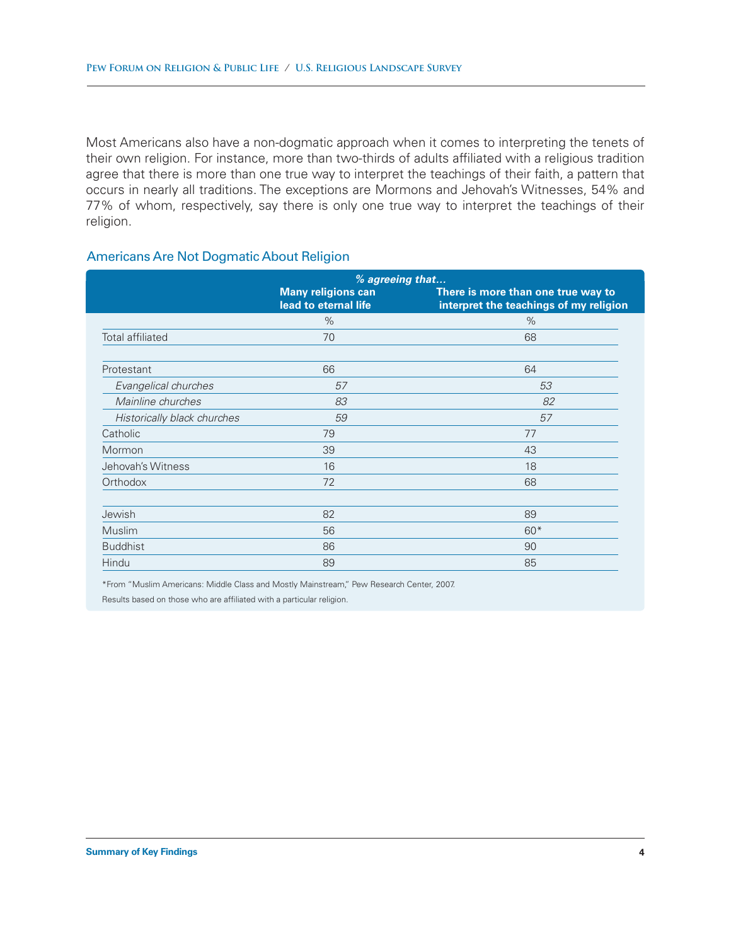Most Americans also have a non-dogmatic approach when it comes to interpreting the tenets of their own religion. For instance, more than two-thirds of adults affiliated with a religious tradition agree that there is more than one true way to interpret the teachings of their faith, a pattern that occurs in nearly all traditions. The exceptions are Mormons and Jehovah's Witnesses, 54% and 77% of whom, respectively, say there is only one true way to interpret the teachings of their religion.

### Americans Are Not Dogmatic About Religion

|                             | % agreeing that                                   |                                                                              |
|-----------------------------|---------------------------------------------------|------------------------------------------------------------------------------|
|                             | <b>Many religions can</b><br>lead to eternal life | There is more than one true way to<br>interpret the teachings of my religion |
|                             | $\%$                                              | $\%$                                                                         |
| Total affiliated            | 70                                                | 68                                                                           |
| Protestant                  | 66                                                | 64                                                                           |
| Evangelical churches        | 57                                                | 53                                                                           |
| Mainline churches           | 83                                                | 82                                                                           |
| Historically black churches | 59                                                | 57                                                                           |
| Catholic                    | 79                                                | 77                                                                           |
| Mormon                      | 39                                                | 43                                                                           |
| Jehovah's Witness           | 16                                                | 18                                                                           |
| Orthodox                    | 72                                                | 68                                                                           |
| Jewish                      | 82                                                | 89                                                                           |
| Muslim                      | 56                                                | $60*$                                                                        |
| <b>Buddhist</b>             | 86                                                | 90                                                                           |
| Hindu                       | 89                                                | 85                                                                           |

\*From "Muslim Americans: Middle Class and Mostly Mainstream," Pew Research Center, 2007.

Results based on those who are affiliated with a particular religion.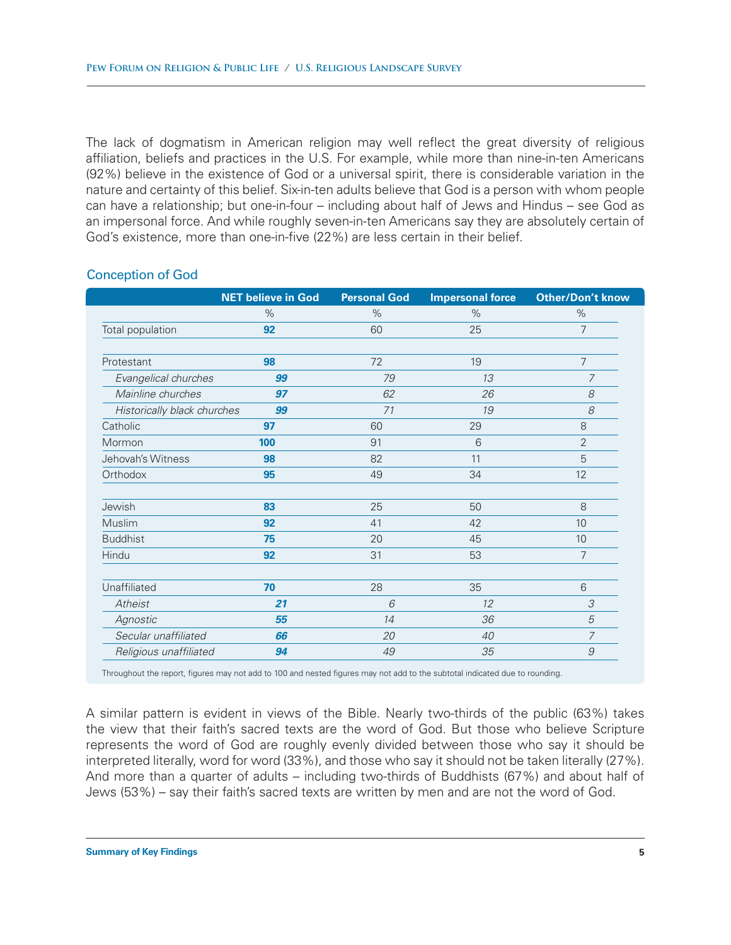The lack of dogmatism in American religion may well reflect the great diversity of religious affiliation, beliefs and practices in the U.S. For example, while more than nine-in-ten Americans (92%) believe in the existence of God or a universal spirit, there is considerable variation in the nature and certainty of this belief. Six-in-ten adults believe that God is a person with whom people can have a relationship; but one-in-four – including about half of Jews and Hindus – see God as an impersonal force. And while roughly seven-in-ten Americans say they are absolutely certain of God's existence, more than one-in-five (22%) are less certain in their belief.

|                             | <b>NET believe in God</b> | <b>Personal God</b> | <b>Impersonal force</b> | <b>Other/Don't know</b> |
|-----------------------------|---------------------------|---------------------|-------------------------|-------------------------|
|                             | $\%$                      | $\%$                | $\%$                    | $\%$                    |
| Total population            | 92                        | 60                  | 25                      | $\overline{7}$          |
|                             |                           |                     |                         |                         |
| Protestant                  | 98                        | 72                  | 19                      | 7                       |
| Evangelical churches        | 99                        | 79                  | 13                      | 7                       |
| Mainline churches           | 97                        | 62                  | 26                      | 8                       |
| Historically black churches | 99                        | 71                  | 19                      | 8                       |
| Catholic                    | 97                        | 60                  | 29                      | 8                       |
| Mormon                      | 100                       | 91                  | 6                       | $\overline{2}$          |
| Jehovah's Witness           | 98                        | 82                  | 11                      | 5                       |
| Orthodox                    | 95                        | 49                  | 34                      | 12                      |
| Jewish                      | 83                        | 25                  | 50                      | 8                       |
| Muslim                      | 92                        | 41                  | 42                      | 10                      |
| <b>Buddhist</b>             | 75                        | 20                  | 45                      | 10                      |
| Hindu                       | 92                        | 31                  | 53                      | 7                       |
|                             |                           |                     |                         |                         |
| Unaffiliated                | 70                        | 28                  | 35                      | 6                       |
| Atheist                     | 21                        | 6                   | 12                      | 3                       |
| Agnostic                    | 55                        | 14                  | 36                      | 5                       |
| Secular unaffiliated        | 66                        | 20                  | 40                      | $\overline{7}$          |
| Religious unaffiliated      | 94                        | 49                  | 35                      | 9                       |

### Conception of God

Throughout the report, figures may not add to 100 and nested figures may not add to the subtotal indicated due to rounding.

A similar pattern is evident in views of the Bible. Nearly two-thirds of the public (63%) takes the view that their faith's sacred texts are the word of God. But those who believe Scripture represents the word of God are roughly evenly divided between those who say it should be interpreted literally, word for word (33%), and those who say it should not be taken literally (27%). And more than a quarter of adults – including two-thirds of Buddhists (67%) and about half of Jews (53%) – say their faith's sacred texts are written by men and are not the word of God.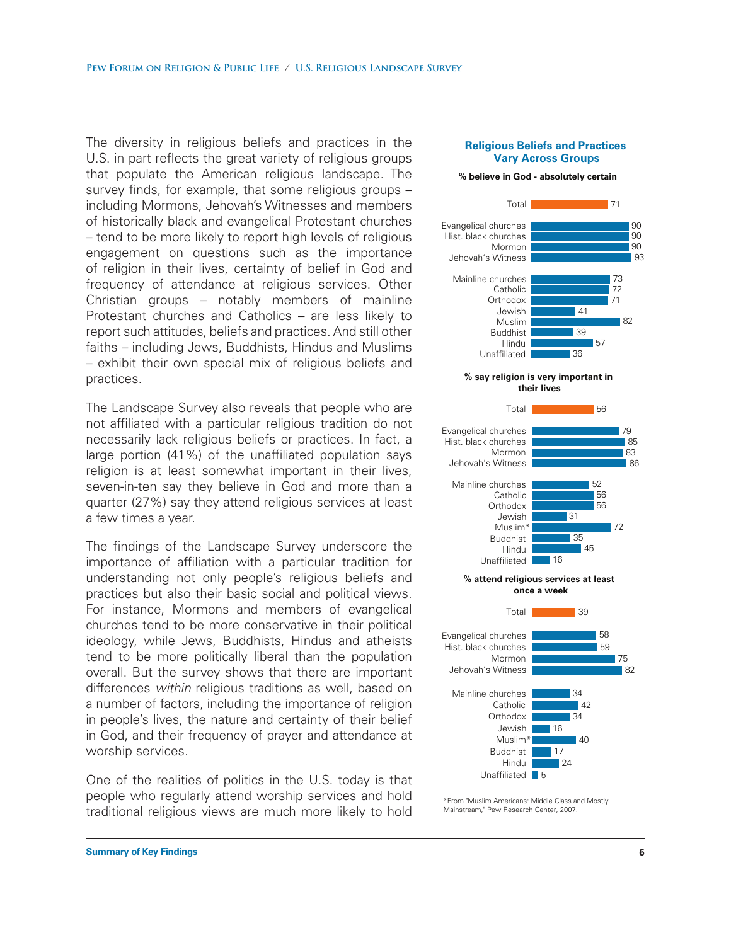The diversity in religious beliefs and practices in the U.S. in part reflects the great variety of religious groups that populate the American religious landscape. The survey finds, for example, that some religious groups – including Mormons, Jehovah's Witnesses and members of historically black and evangelical Protestant churches – tend to be more likely to report high levels of religious engagement on questions such as the importance of religion in their lives, certainty of belief in God and frequency of attendance at religious services. Other Christian groups – notably members of mainline Protestant churches and Catholics – are less likely to report such attitudes, beliefs and practices. And still other faiths – including Jews, Buddhists, Hindus and Muslims – exhibit their own special mix of religious beliefs and practices.

The Landscape Survey also reveals that people who are not affiliated with a particular religious tradition do not necessarily lack religious beliefs or practices. In fact, a large portion (41%) of the unaffiliated population says religion is at least somewhat important in their lives, seven-in-ten say they believe in God and more than a quarter (27%) say they attend religious services at least a few times a year.

The findings of the Landscape Survey underscore the importance of affiliation with a particular tradition for understanding not only people's religious beliefs and practices but also their basic social and political views. For instance, Mormons and members of evangelical churches tend to be more conservative in their political ideology, while Jews, Buddhists, Hindus and atheists tend to be more politically liberal than the population overall. But the survey shows that there are important differences *within* religious traditions as well, based on a number of factors, including the importance of religion in people's lives, the nature and certainty of their belief in God, and their frequency of prayer and attendance at worship services.

One of the realities of politics in the U.S. today is that people who regularly attend worship services and hold traditional religious views are much more likely to hold

#### **Religious Beliefs and Practices Vary Across Groups**

#### **% believe in God - absolutely certain**



#### **% say religion is very important in their lives**



<sup>\*</sup>From "Muslim Americans: Middle Class and Mostly Mainstream," Pew Research Center, 2007.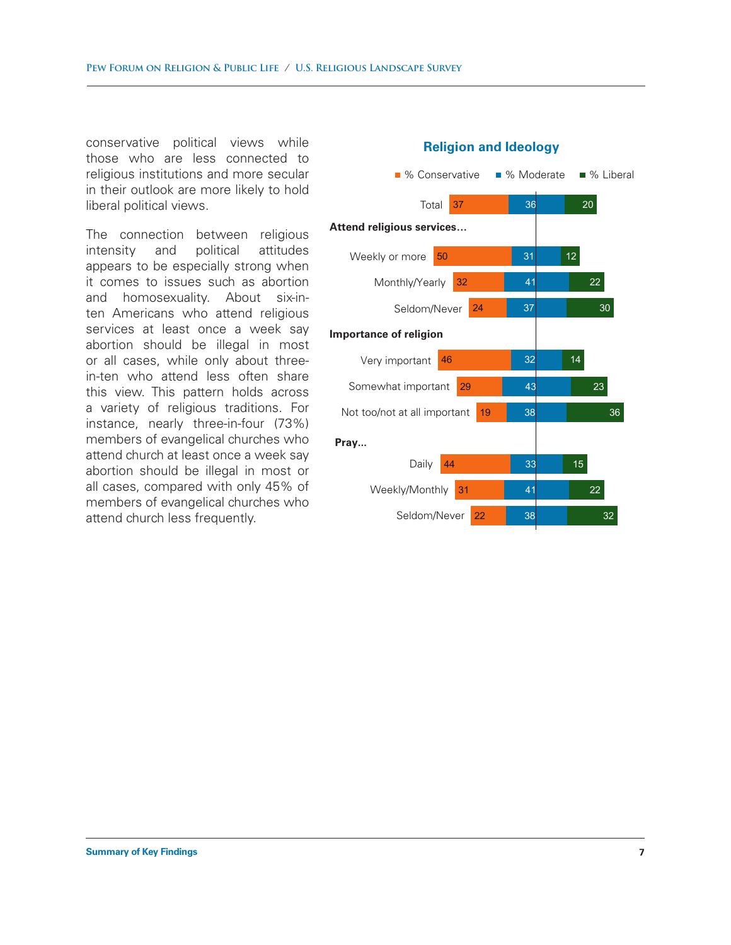conservative political views while those who are less connected to religious institutions and more secular in their outlook are more likely to hold liberal political views.

The connection between religious intensity and political attitudes appears to be especially strong when it comes to issues such as abortion and homosexuality. About six-inten Americans who attend religious services at least once a week say abortion should be illegal in most or all cases, while only about threein-ten who attend less often share this view. This pattern holds across a variety of religious traditions. For instance, nearly three-in-four (73%) members of evangelical churches who attend church at least once a week say abortion should be illegal in most or all cases, compared with only 45% of members of evangelical churches who attend church less frequently.



### **Religion and Ideology**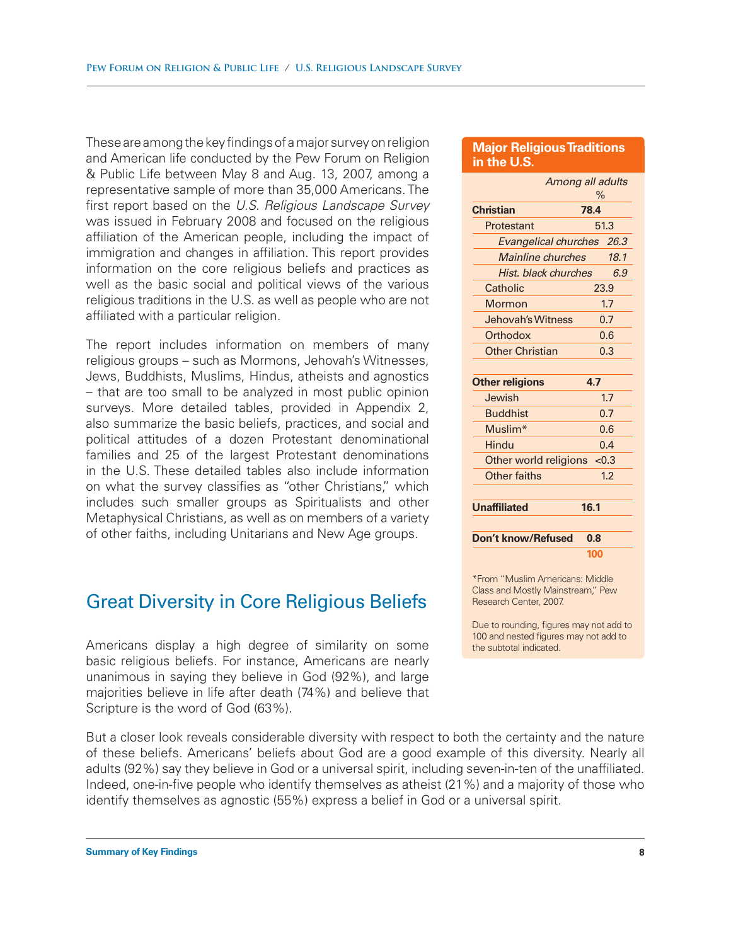These are among the key findings of a major survey on religion and American life conducted by the Pew Forum on Religion & Public Life between May 8 and Aug. 13, 2007, among a representative sample of more than 35,000 Americans. The first report based on the *U.S. Religious Landscape Survey* was issued in February 2008 and focused on the religious affiliation of the American people, including the impact of immigration and changes in affiliation. This report provides information on the core religious beliefs and practices as well as the basic social and political views of the various religious traditions in the U.S. as well as people who are not affiliated with a particular religion.

The report includes information on members of many religious groups – such as Mormons, Jehovah's Witnesses, Jews, Buddhists, Muslims, Hindus, atheists and agnostics – that are too small to be analyzed in most public opinion surveys. More detailed tables, provided in Appendix 2, also summarize the basic beliefs, practices, and social and political attitudes of a dozen Protestant denominational families and 25 of the largest Protestant denominations in the U.S. These detailed tables also include information on what the survey classifies as "other Christians," which includes such smaller groups as Spiritualists and other Metaphysical Christians, as well as on members of a variety of other faiths, including Unitarians and New Age groups.

### Great Diversity in Core Religious Beliefs

Americans display a high degree of similarity on some basic religious beliefs. For instance, Americans are nearly unanimous in saying they believe in God (92%), and large majorities believe in life after death (74%) and believe that Scripture is the word of God (63%).

But a closer look reveals considerable diversity with respect to both the certainty and the nature of these beliefs. Americans' beliefs about God are a good example of this diversity. Nearly all adults (92%) say they believe in God or a universal spirit, including seven-in-ten of the unaffiliated. Indeed, one-in-five people who identify themselves as atheist (21%) and a majority of those who identify themselves as agnostic (55%) express a belief in God or a universal spirit.

### **Major Religious Traditions in the U.S.**

| Among all adults                                                     | $\%$ |       |
|----------------------------------------------------------------------|------|-------|
| <b>Christian</b>                                                     | 78.4 |       |
| Protestant                                                           |      | 51.3  |
| Evangelical churches 26.3                                            |      |       |
| Mainline churches                                                    |      | 18.1  |
| Hist, black churches                                                 |      | 6.9   |
| Catholic                                                             |      | 23.9  |
| Mormon                                                               |      | 1.7   |
| Jehovah's Witness                                                    |      | 0.7   |
| Orthodox                                                             |      | 0.6   |
| <b>Other Christian</b>                                               |      | 0.3   |
|                                                                      |      |       |
| <b>Other religions</b>                                               | 4.7  |       |
| Jewish                                                               |      | 1.7   |
| <b>Buddhist</b>                                                      |      | 0.7   |
| Muslim <sup>*</sup>                                                  |      | 0.6   |
| Hindu                                                                |      | 0.4   |
| Other world religions                                                |      | < 0.3 |
| Other faiths                                                         |      | 1.2   |
|                                                                      |      |       |
| <b>Unaffiliated</b>                                                  | 16.1 |       |
|                                                                      |      |       |
| Don't know/Refused                                                   | 0.8  |       |
|                                                                      | 100  |       |
| *From "Muslim Americans: Middle<br>Class and Mostly Mainstream," Pew |      |       |

Due to rounding, figures may not add to 100 and nested figures may not add to the subtotal indicated.

Research Center, 2007.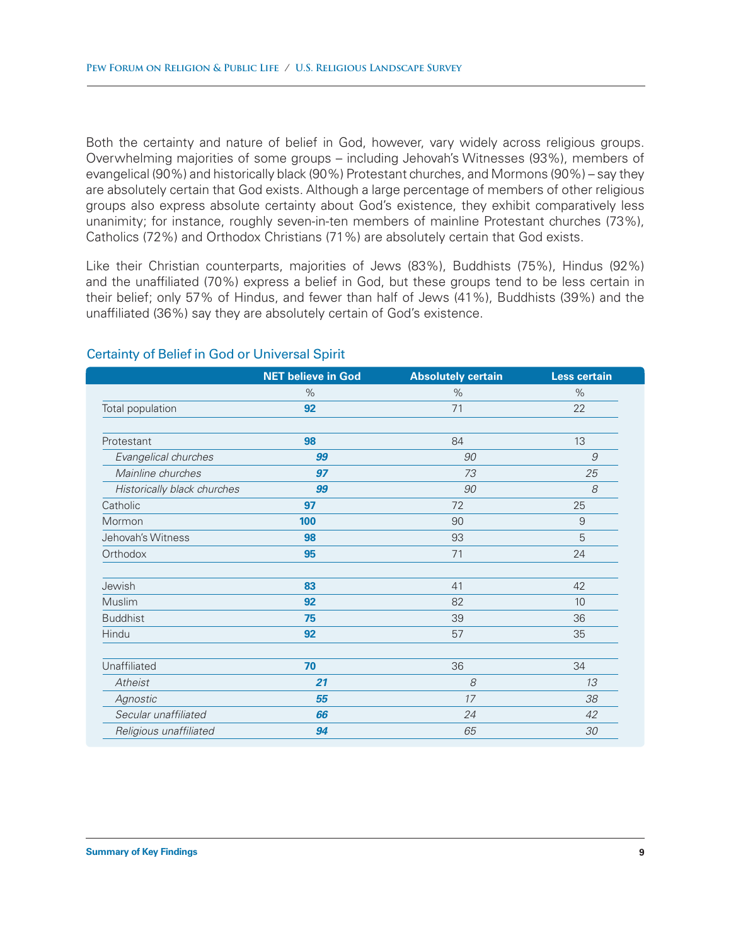Both the certainty and nature of belief in God, however, vary widely across religious groups. Overwhelming majorities of some groups – including Jehovah's Witnesses (93%), members of evangelical (90%) and historically black (90%) Protestant churches, and Mormons (90%) – say they are absolutely certain that God exists. Although a large percentage of members of other religious groups also express absolute certainty about God's existence, they exhibit comparatively less unanimity; for instance, roughly seven-in-ten members of mainline Protestant churches (73%), Catholics (72%) and Orthodox Christians (71%) are absolutely certain that God exists.

Like their Christian counterparts, majorities of Jews (83%), Buddhists (75%), Hindus (92%) and the unaffiliated (70%) express a belief in God, but these groups tend to be less certain in their belief; only 57% of Hindus, and fewer than half of Jews (41%), Buddhists (39%) and the unaffiliated (36%) say they are absolutely certain of God's existence.

|                             | <b>NET believe in God</b> | <b>Absolutely certain</b> | <b>Less certain</b> |
|-----------------------------|---------------------------|---------------------------|---------------------|
|                             | $\%$                      | $\%$                      | $\%$                |
| Total population            | 92                        | 71                        | 22                  |
|                             |                           |                           |                     |
| Protestant                  | 98                        | 84                        | 13                  |
| Evangelical churches        | 99                        | 90                        | 9                   |
| Mainline churches           | 97                        | 73                        | 25                  |
| Historically black churches | 99                        | 90                        | 8                   |
| Catholic                    | 97                        | 72                        | 25                  |
| Mormon                      | 100                       | 90                        | 9                   |
| Jehovah's Witness           | 98                        | 93                        | 5                   |
| Orthodox                    | 95                        | 71                        | 24                  |
|                             |                           |                           |                     |
| Jewish                      | 83                        | 41                        | 42                  |
| Muslim                      | 92                        | 82                        | 10                  |
| <b>Buddhist</b>             | 75                        | 39                        | 36                  |
| Hindu                       | 92                        | 57                        | 35                  |
| Unaffiliated                | 70                        | 36                        | 34                  |
| Atheist                     | 21                        | 8                         | 13                  |
| Agnostic                    | 55                        | 17                        | 38                  |
| Secular unaffiliated        | 66                        | 24                        | 42                  |
| Religious unaffiliated      | 94                        | 65                        | 30                  |

### Certainty of Belief in God or Universal Spirit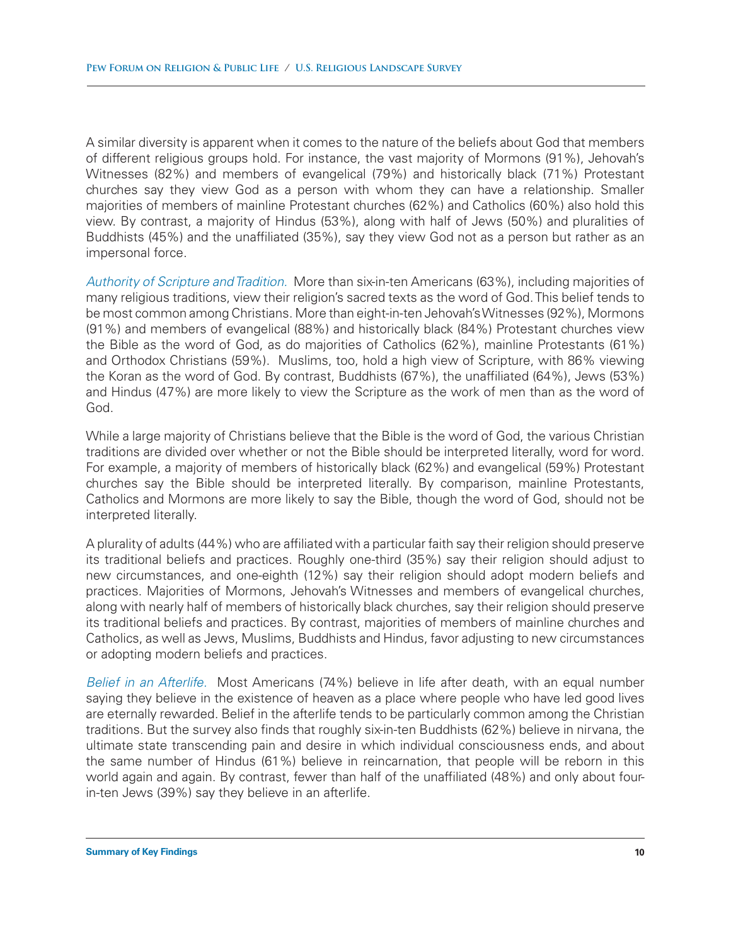A similar diversity is apparent when it comes to the nature of the beliefs about God that members of different religious groups hold. For instance, the vast majority of Mormons (91%), Jehovah's Witnesses (82%) and members of evangelical (79%) and historically black (71%) Protestant churches say they view God as a person with whom they can have a relationship. Smaller majorities of members of mainline Protestant churches (62%) and Catholics (60%) also hold this view. By contrast, a majority of Hindus (53%), along with half of Jews (50%) and pluralities of Buddhists (45%) and the unaffiliated (35%), say they view God not as a person but rather as an impersonal force.

*Authority of Scripture and Tradition.* More than six-in-ten Americans (63%), including majorities of many religious traditions, view their religion's sacred texts as the word of God. This belief tends to be most common among Christians. More than eight-in-ten Jehovah's Witnesses (92%), Mormons (91%) and members of evangelical (88%) and historically black (84%) Protestant churches view the Bible as the word of God, as do majorities of Catholics (62%), mainline Protestants (61%) and Orthodox Christians (59%). Muslims, too, hold a high view of Scripture, with 86% viewing the Koran as the word of God. By contrast, Buddhists (67%), the unaffiliated (64%), Jews (53%) and Hindus (47%) are more likely to view the Scripture as the work of men than as the word of God.

While a large majority of Christians believe that the Bible is the word of God, the various Christian traditions are divided over whether or not the Bible should be interpreted literally, word for word. For example, a majority of members of historically black (62%) and evangelical (59%) Protestant churches say the Bible should be interpreted literally. By comparison, mainline Protestants, Catholics and Mormons are more likely to say the Bible, though the word of God, should not be interpreted literally.

A plurality of adults (44%) who are affiliated with a particular faith say their religion should preserve its traditional beliefs and practices. Roughly one-third (35%) say their religion should adjust to new circumstances, and one-eighth (12%) say their religion should adopt modern beliefs and practices. Majorities of Mormons, Jehovah's Witnesses and members of evangelical churches, along with nearly half of members of historically black churches, say their religion should preserve its traditional beliefs and practices. By contrast, majorities of members of mainline churches and Catholics, as well as Jews, Muslims, Buddhists and Hindus, favor adjusting to new circumstances or adopting modern beliefs and practices.

*Belief in an Afterlife.* Most Americans (74%) believe in life after death, with an equal number saying they believe in the existence of heaven as a place where people who have led good lives are eternally rewarded. Belief in the afterlife tends to be particularly common among the Christian traditions. But the survey also finds that roughly six-in-ten Buddhists (62%) believe in nirvana, the ultimate state transcending pain and desire in which individual consciousness ends, and about the same number of Hindus (61%) believe in reincarnation, that people will be reborn in this world again and again. By contrast, fewer than half of the unaffiliated (48%) and only about fourin-ten Jews (39%) say they believe in an afterlife.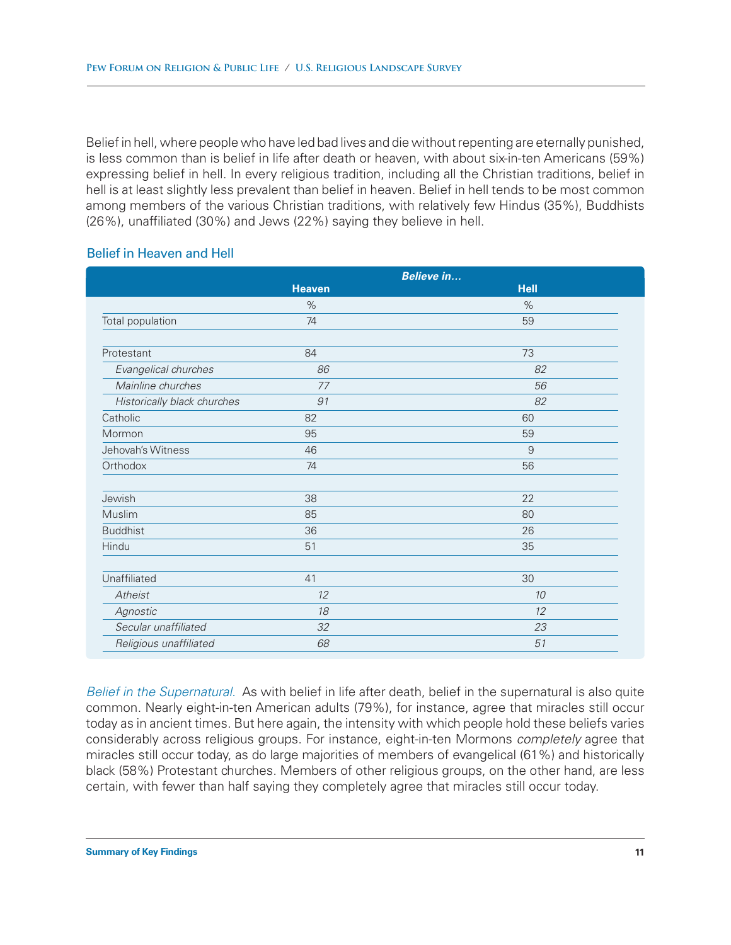Belief in hell, where people who have led bad lives and die without repenting are eternally punished, is less common than is belief in life after death or heaven, with about six-in-ten Americans (59%) expressing belief in hell. In every religious tradition, including all the Christian traditions, belief in hell is at least slightly less prevalent than belief in heaven. Belief in hell tends to be most common among members of the various Christian traditions, with relatively few Hindus (35%), Buddhists (26%), unaffiliated (30%) and Jews (22%) saying they believe in hell.

### Belief in Heaven and Hell

|                             | <b>Believe in</b> |             |
|-----------------------------|-------------------|-------------|
|                             | <b>Heaven</b>     | <b>Hell</b> |
|                             | $\%$              | $\%$        |
| Total population            | 74                | 59          |
| Protestant                  | 84                | 73          |
| Evangelical churches        | 86                | 82          |
| Mainline churches           | 77                | 56          |
| Historically black churches | 91                | 82          |
| Catholic                    | 82                | 60          |
| Mormon                      | 95                | 59          |
| Jehovah's Witness           | 46                | 9           |
| Orthodox                    | 74                | 56          |
| Jewish                      | 38                | 22          |
| Muslim                      | 85                | 80          |
| <b>Buddhist</b>             | 36                | 26          |
| Hindu                       | 51                | 35          |
| Unaffiliated                | 41                | 30          |
| Atheist                     | 12                | 10          |
| Agnostic                    | 18                | 12          |
| Secular unaffiliated        | 32                | 23          |
| Religious unaffiliated      | 68                | 51          |
|                             |                   |             |

*Belief in the Supernatural.* As with belief in life after death, belief in the supernatural is also quite common. Nearly eight-in-ten American adults (79%), for instance, agree that miracles still occur today as in ancient times. But here again, the intensity with which people hold these beliefs varies considerably across religious groups. For instance, eight-in-ten Mormons *completely* agree that miracles still occur today, as do large majorities of members of evangelical (61%) and historically black (58%) Protestant churches. Members of other religious groups, on the other hand, are less certain, with fewer than half saying they completely agree that miracles still occur today.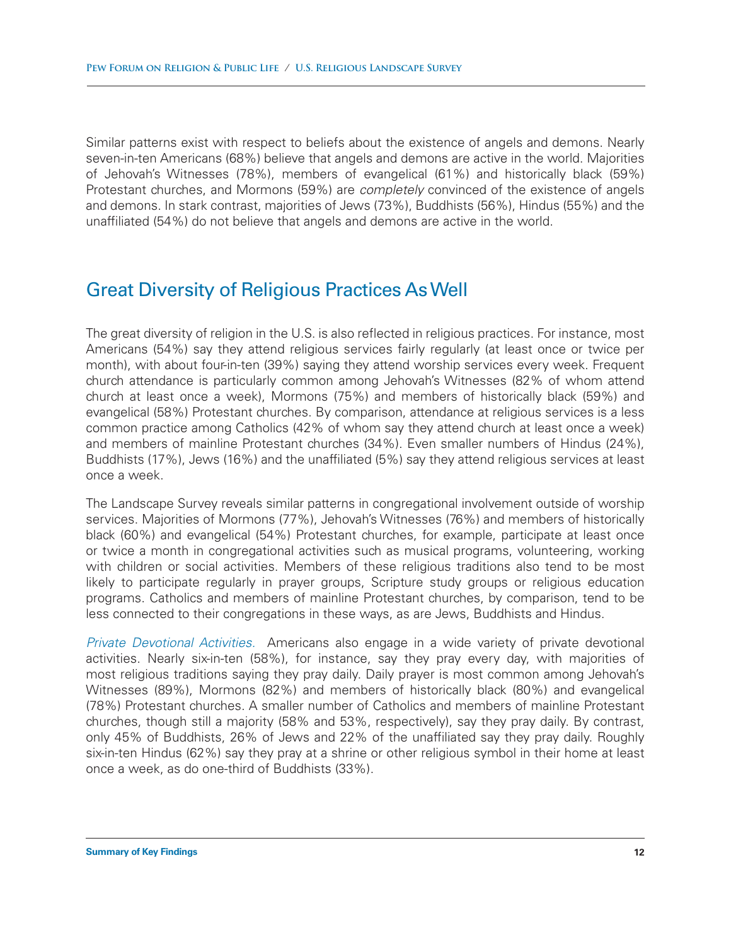Similar patterns exist with respect to beliefs about the existence of angels and demons. Nearly seven-in-ten Americans (68%) believe that angels and demons are active in the world. Majorities of Jehovah's Witnesses (78%), members of evangelical (61%) and historically black (59%) Protestant churches, and Mormons (59%) are *completely* convinced of the existence of angels and demons. In stark contrast, majorities of Jews (73%), Buddhists (56%), Hindus (55%) and the unaffiliated (54%) do not believe that angels and demons are active in the world.

## Great Diversity of Religious Practices As Well

The great diversity of religion in the U.S. is also reflected in religious practices. For instance, most Americans (54%) say they attend religious services fairly regularly (at least once or twice per month), with about four-in-ten (39%) saying they attend worship services every week. Frequent church attendance is particularly common among Jehovah's Witnesses (82% of whom attend church at least once a week), Mormons (75%) and members of historically black (59%) and evangelical (58%) Protestant churches. By comparison, attendance at religious services is a less common practice among Catholics (42% of whom say they attend church at least once a week) and members of mainline Protestant churches (34%). Even smaller numbers of Hindus (24%), Buddhists (17%), Jews (16%) and the unaffiliated (5%) say they attend religious services at least once a week.

The Landscape Survey reveals similar patterns in congregational involvement outside of worship services. Majorities of Mormons (77%), Jehovah's Witnesses (76%) and members of historically black (60%) and evangelical (54%) Protestant churches, for example, participate at least once or twice a month in congregational activities such as musical programs, volunteering, working with children or social activities. Members of these religious traditions also tend to be most likely to participate regularly in prayer groups, Scripture study groups or religious education programs. Catholics and members of mainline Protestant churches, by comparison, tend to be less connected to their congregations in these ways, as are Jews, Buddhists and Hindus.

*Private Devotional Activities.* Americans also engage in a wide variety of private devotional activities. Nearly six-in-ten (58%), for instance, say they pray every day, with majorities of most religious traditions saying they pray daily. Daily prayer is most common among Jehovah's Witnesses (89%), Mormons (82%) and members of historically black (80%) and evangelical (78%) Protestant churches. A smaller number of Catholics and members of mainline Protestant churches, though still a majority (58% and 53%, respectively), say they pray daily. By contrast, only 45% of Buddhists, 26% of Jews and 22% of the unaffiliated say they pray daily. Roughly six-in-ten Hindus (62%) say they pray at a shrine or other religious symbol in their home at least once a week, as do one-third of Buddhists (33%).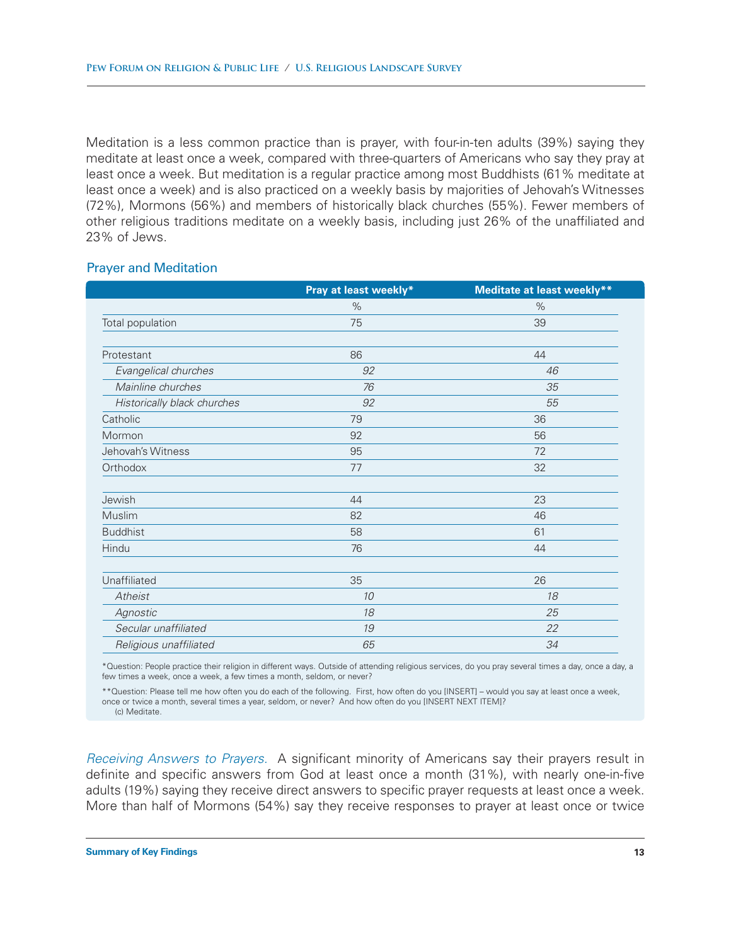Meditation is a less common practice than is prayer, with four-in-ten adults (39%) saying they meditate at least once a week, compared with three-quarters of Americans who say they pray at least once a week. But meditation is a regular practice among most Buddhists (61% meditate at least once a week) and is also practiced on a weekly basis by majorities of Jehovah's Witnesses (72%), Mormons (56%) and members of historically black churches (55%). Fewer members of other religious traditions meditate on a weekly basis, including just 26% of the unaffiliated and 23% of Jews.

### Prayer and Meditation

|                             | Pray at least weekly* | <b>Meditate at least weekly**</b> |
|-----------------------------|-----------------------|-----------------------------------|
|                             | $\%$                  | %                                 |
| Total population            | 75                    | 39                                |
| Protestant                  | 86                    | 44                                |
| Evangelical churches        | 92                    | 46                                |
| Mainline churches           | 76                    | 35                                |
| Historically black churches | 92                    | 55                                |
| Catholic                    | 79                    | 36                                |
| Mormon                      | 92                    | 56                                |
| Jehovah's Witness           | 95                    | 72                                |
| Orthodox                    | 77                    | 32                                |
| Jewish                      | 44                    | 23                                |
| Muslim                      | 82                    | 46                                |
| <b>Buddhist</b>             | 58                    | 61                                |
| Hindu                       | 76                    | 44                                |
| Unaffiliated                | 35                    | 26                                |
| Atheist                     | 10                    | 18                                |
| Agnostic                    | 18                    | 25                                |
| Secular unaffiliated        | 19                    | 22                                |
| Religious unaffiliated      | 65                    | 34                                |

\*Question: People practice their religion in different ways. Outside of attending religious services, do you pray several times a day, once a day, a few times a week, once a week, a few times a month, seldom, or never?

\*\*Question: Please tell me how often you do each of the following. First, how often do you [INSERT] – would you say at least once a week, once or twice a month, several times a year, seldom, or never? And how often do you [INSERT NEXT ITEM]?

(c) Meditate.

*Receiving Answers to Prayers.* A significant minority of Americans say their prayers result in definite and specific answers from God at least once a month (31%), with nearly one-in-five adults (19%) saying they receive direct answers to specific prayer requests at least once a week. More than half of Mormons (54%) say they receive responses to prayer at least once or twice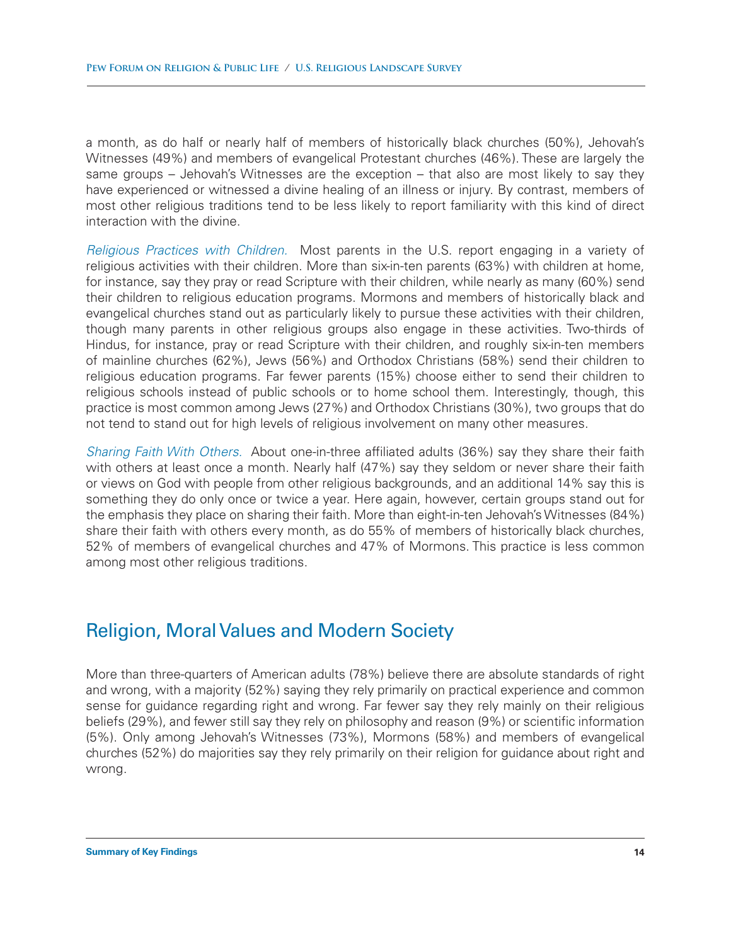a month, as do half or nearly half of members of historically black churches (50%), Jehovah's Witnesses (49%) and members of evangelical Protestant churches (46%). These are largely the same groups – Jehovah's Witnesses are the exception – that also are most likely to say they have experienced or witnessed a divine healing of an illness or injury. By contrast, members of most other religious traditions tend to be less likely to report familiarity with this kind of direct interaction with the divine.

*Religious Practices with Children.* Most parents in the U.S. report engaging in a variety of religious activities with their children. More than six-in-ten parents (63%) with children at home, for instance, say they pray or read Scripture with their children, while nearly as many (60%) send their children to religious education programs. Mormons and members of historically black and evangelical churches stand out as particularly likely to pursue these activities with their children, though many parents in other religious groups also engage in these activities. Two-thirds of Hindus, for instance, pray or read Scripture with their children, and roughly six-in-ten members of mainline churches (62%), Jews (56%) and Orthodox Christians (58%) send their children to religious education programs. Far fewer parents (15%) choose either to send their children to religious schools instead of public schools or to home school them. Interestingly, though, this practice is most common among Jews (27%) and Orthodox Christians (30%), two groups that do not tend to stand out for high levels of religious involvement on many other measures.

*Sharing Faith With Others.* About one-in-three affiliated adults (36%) say they share their faith with others at least once a month. Nearly half (47%) say they seldom or never share their faith or views on God with people from other religious backgrounds, and an additional 14% say this is something they do only once or twice a year. Here again, however, certain groups stand out for the emphasis they place on sharing their faith. More than eight-in-ten Jehovah's Witnesses (84%) share their faith with others every month, as do 55% of members of historically black churches, 52% of members of evangelical churches and 47% of Mormons. This practice is less common among most other religious traditions.

### Religion, Moral Values and Modern Society

More than three-quarters of American adults (78%) believe there are absolute standards of right and wrong, with a majority (52%) saying they rely primarily on practical experience and common sense for guidance regarding right and wrong. Far fewer say they rely mainly on their religious beliefs (29%), and fewer still say they rely on philosophy and reason (9%) or scientific information (5%). Only among Jehovah's Witnesses (73%), Mormons (58%) and members of evangelical churches (52%) do majorities say they rely primarily on their religion for guidance about right and wrong.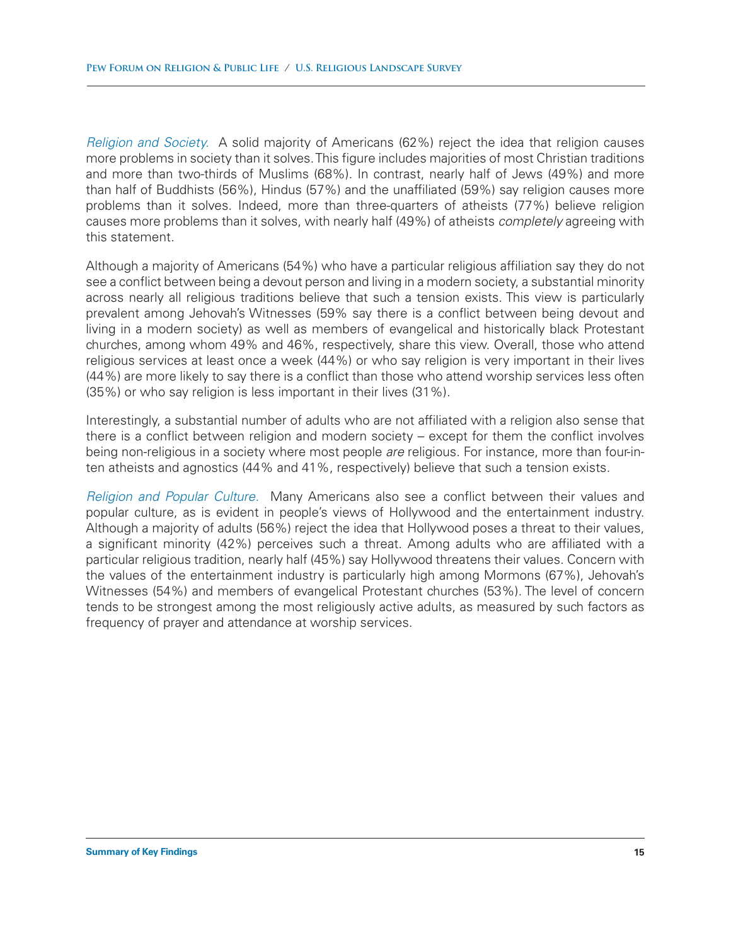*Religion and Society.* A solid majority of Americans (62%) reject the idea that religion causes more problems in society than it solves. This figure includes majorities of most Christian traditions and more than two-thirds of Muslims (68%). In contrast, nearly half of Jews (49%) and more than half of Buddhists (56%), Hindus (57%) and the unaffiliated (59%) say religion causes more problems than it solves. Indeed, more than three-quarters of atheists (77%) believe religion causes more problems than it solves, with nearly half (49%) of atheists *completely* agreeing with this statement.

Although a majority of Americans (54%) who have a particular religious affiliation say they do not see a conflict between being a devout person and living in a modern society, a substantial minority across nearly all religious traditions believe that such a tension exists. This view is particularly prevalent among Jehovah's Witnesses (59% say there is a conflict between being devout and living in a modern society) as well as members of evangelical and historically black Protestant churches, among whom 49% and 46%, respectively, share this view. Overall, those who attend religious services at least once a week (44%) or who say religion is very important in their lives (44%) are more likely to say there is a conflict than those who attend worship services less often (35%) or who say religion is less important in their lives (31%).

Interestingly, a substantial number of adults who are not affiliated with a religion also sense that there is a conflict between religion and modern society – except for them the conflict involves being non-religious in a society where most people *are* religious. For instance, more than four-inten atheists and agnostics (44% and 41%, respectively) believe that such a tension exists.

*Religion and Popular Culture.* Many Americans also see a conflict between their values and popular culture, as is evident in people's views of Hollywood and the entertainment industry. Although a majority of adults (56%) reject the idea that Hollywood poses a threat to their values, a significant minority (42%) perceives such a threat. Among adults who are affiliated with a particular religious tradition, nearly half (45%) say Hollywood threatens their values. Concern with the values of the entertainment industry is particularly high among Mormons (67%), Jehovah's Witnesses (54%) and members of evangelical Protestant churches (53%). The level of concern tends to be strongest among the most religiously active adults, as measured by such factors as frequency of prayer and attendance at worship services.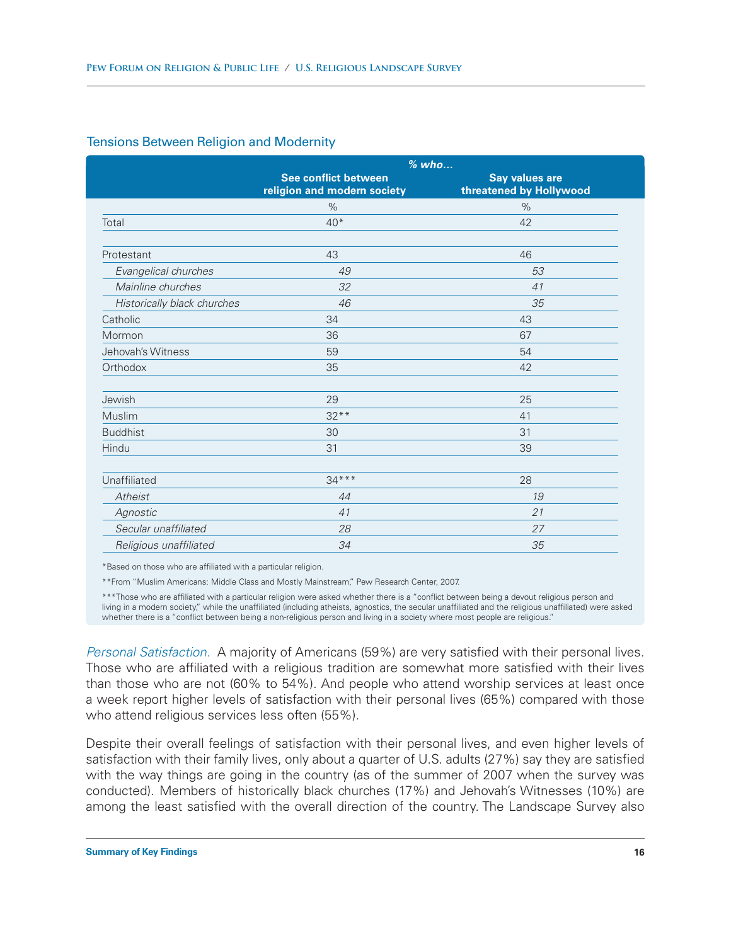### Tensions Between Religion and Modernity

|                             | $%$ who                                                    |                                                  |  |
|-----------------------------|------------------------------------------------------------|--------------------------------------------------|--|
|                             | <b>See conflict between</b><br>religion and modern society | <b>Say values are</b><br>threatened by Hollywood |  |
|                             | $\%$                                                       | $\%$                                             |  |
| Total                       | $40*$                                                      | 42                                               |  |
|                             |                                                            |                                                  |  |
| Protestant                  | 43                                                         | 46                                               |  |
| Evangelical churches        | 49                                                         | 53                                               |  |
| Mainline churches           | 32                                                         | 41                                               |  |
| Historically black churches | 46                                                         | 35                                               |  |
| Catholic                    | 34                                                         | 43                                               |  |
| Mormon                      | 36                                                         | 67                                               |  |
| Jehovah's Witness           | 59                                                         | 54                                               |  |
| Orthodox                    | 35                                                         | 42                                               |  |
| Jewish                      | 29                                                         | 25                                               |  |
| Muslim                      | $32**$                                                     | 41                                               |  |
| <b>Buddhist</b>             | 30                                                         | 31                                               |  |
| Hindu                       | 31                                                         | 39                                               |  |
| Unaffiliated                | $34***$                                                    | 28                                               |  |
| Atheist                     | 44                                                         | 19                                               |  |
| Agnostic                    | 41                                                         | 21                                               |  |
| Secular unaffiliated        | 28                                                         | 27                                               |  |
| Religious unaffiliated      | 34                                                         | 35                                               |  |

\*Based on those who are affiliated with a particular religion.

\*\*From "Muslim Americans: Middle Class and Mostly Mainstream," Pew Research Center, 2007.

\*\*\*Those who are affiliated with a particular religion were asked whether there is a "conflict between being a devout religious person and living in a modern society," while the unaffiliated (including atheists, agnostics, the secular unaffiliated and the religious unaffiliated) were asked whether there is a "conflict between being a non-religious person and living in a society where most people are religious."

*Personal Satisfaction.* A majority of Americans (59%) are very satisfied with their personal lives. Those who are affiliated with a religious tradition are somewhat more satisfied with their lives than those who are not (60% to 54%). And people who attend worship services at least once a week report higher levels of satisfaction with their personal lives (65%) compared with those who attend religious services less often (55%).

Despite their overall feelings of satisfaction with their personal lives, and even higher levels of satisfaction with their family lives, only about a quarter of U.S. adults (27%) say they are satisfied with the way things are going in the country (as of the summer of 2007 when the survey was conducted). Members of historically black churches (17%) and Jehovah's Witnesses (10%) are among the least satisfied with the overall direction of the country. The Landscape Survey also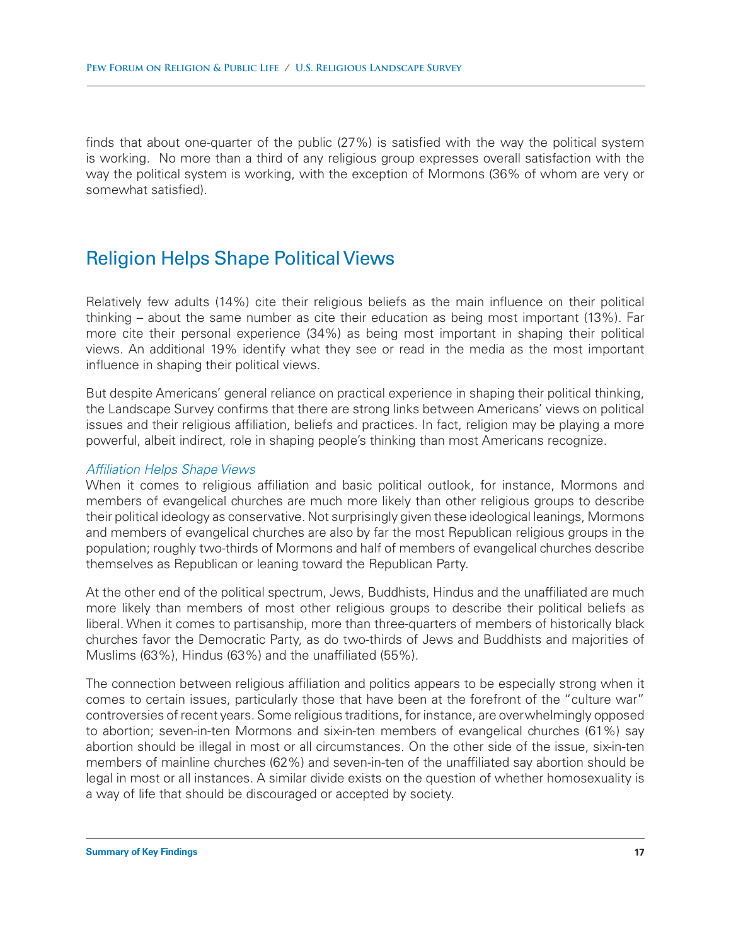finds that about one-quarter of the public (27%) is satisfied with the way the political system is working. No more than a third of any religious group expresses overall satisfaction with the way the political system is working, with the exception of Mormons (36% of whom are very or somewhat satisfied).

### Religion Helps Shape Political Views

Relatively few adults (14%) cite their religious beliefs as the main influence on their political thinking – about the same number as cite their education as being most important (13%). Far more cite their personal experience (34%) as being most important in shaping their political views. An additional 19% identify what they see or read in the media as the most important influence in shaping their political views.

But despite Americans' general reliance on practical experience in shaping their political thinking, the Landscape Survey confirms that there are strong links between Americans' views on political issues and their religious affiliation, beliefs and practices. In fact, religion may be playing a more powerful, albeit indirect, role in shaping people's thinking than most Americans recognize.

### *Affiliation Helps Shape Views*

When it comes to religious affiliation and basic political outlook, for instance, Mormons and members of evangelical churches are much more likely than other religious groups to describe their political ideology as conservative. Not surprisingly given these ideological leanings, Mormons and members of evangelical churches are also by far the most Republican religious groups in the population; roughly two-thirds of Mormons and half of members of evangelical churches describe themselves as Republican or leaning toward the Republican Party.

At the other end of the political spectrum, Jews, Buddhists, Hindus and the unaffiliated are much more likely than members of most other religious groups to describe their political beliefs as liberal. When it comes to partisanship, more than three-quarters of members of historically black churches favor the Democratic Party, as do two-thirds of Jews and Buddhists and majorities of Muslims (63%), Hindus (63%) and the unaffiliated (55%).

The connection between religious affiliation and politics appears to be especially strong when it comes to certain issues, particularly those that have been at the forefront of the "culture war" controversies of recent years. Some religious traditions, for instance, are overwhelmingly opposed to abortion; seven-in-ten Mormons and six-in-ten members of evangelical churches (61%) say abortion should be illegal in most or all circumstances. On the other side of the issue, six-in-ten members of mainline churches (62%) and seven-in-ten of the unaffiliated say abortion should be legal in most or all instances. A similar divide exists on the question of whether homosexuality is a way of life that should be discouraged or accepted by society.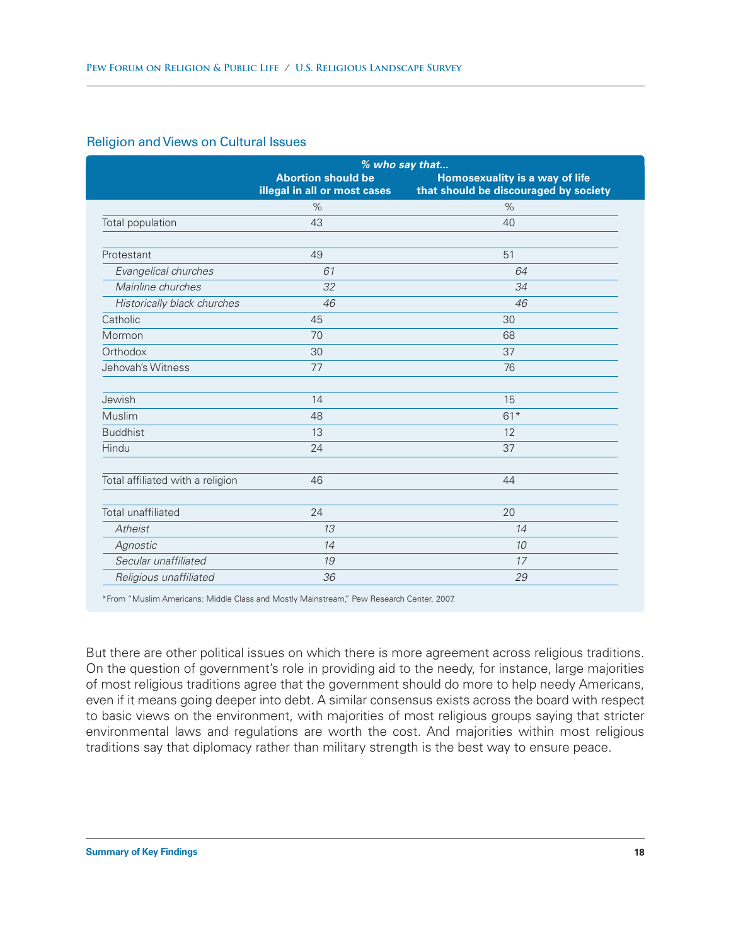### Religion and Views on Cultural Issues

|                                  | % who say that                                            |                                                                         |
|----------------------------------|-----------------------------------------------------------|-------------------------------------------------------------------------|
|                                  | <b>Abortion should be</b><br>illegal in all or most cases | Homosexuality is a way of life<br>that should be discouraged by society |
|                                  | $\%$                                                      | $\%$                                                                    |
| Total population                 | 43                                                        | 40                                                                      |
| Protestant                       | 49                                                        | 51                                                                      |
| Evangelical churches             | 61                                                        | 64                                                                      |
| Mainline churches                | 32                                                        | 34                                                                      |
| Historically black churches      | 46                                                        | 46                                                                      |
| Catholic                         | 45                                                        | 30                                                                      |
| Mormon                           | 70                                                        | 68                                                                      |
| Orthodox                         | 30                                                        | 37                                                                      |
| Jehovah's Witness                | 77                                                        | 76                                                                      |
| Jewish                           | 14                                                        | 15                                                                      |
| Muslim                           | 48                                                        | $61*$                                                                   |
| <b>Buddhist</b>                  | 13                                                        | 12                                                                      |
| Hindu                            | 24                                                        | 37                                                                      |
| Total affiliated with a religion | 46                                                        | 44                                                                      |
| Total unaffiliated               | 24                                                        | 20                                                                      |
| Atheist                          | 13                                                        | 14                                                                      |
| Agnostic                         | 14                                                        | 10                                                                      |
| Secular unaffiliated             | 19                                                        | 17                                                                      |
| Religious unaffiliated           | 36                                                        | 29                                                                      |

\*From "Muslim Americans: Middle Class and Mostly Mainstream," Pew Research Center, 2007.

But there are other political issues on which there is more agreement across religious traditions. On the question of government's role in providing aid to the needy, for instance, large majorities of most religious traditions agree that the government should do more to help needy Americans, even if it means going deeper into debt. A similar consensus exists across the board with respect to basic views on the environment, with majorities of most religious groups saying that stricter environmental laws and regulations are worth the cost. And majorities within most religious traditions say that diplomacy rather than military strength is the best way to ensure peace.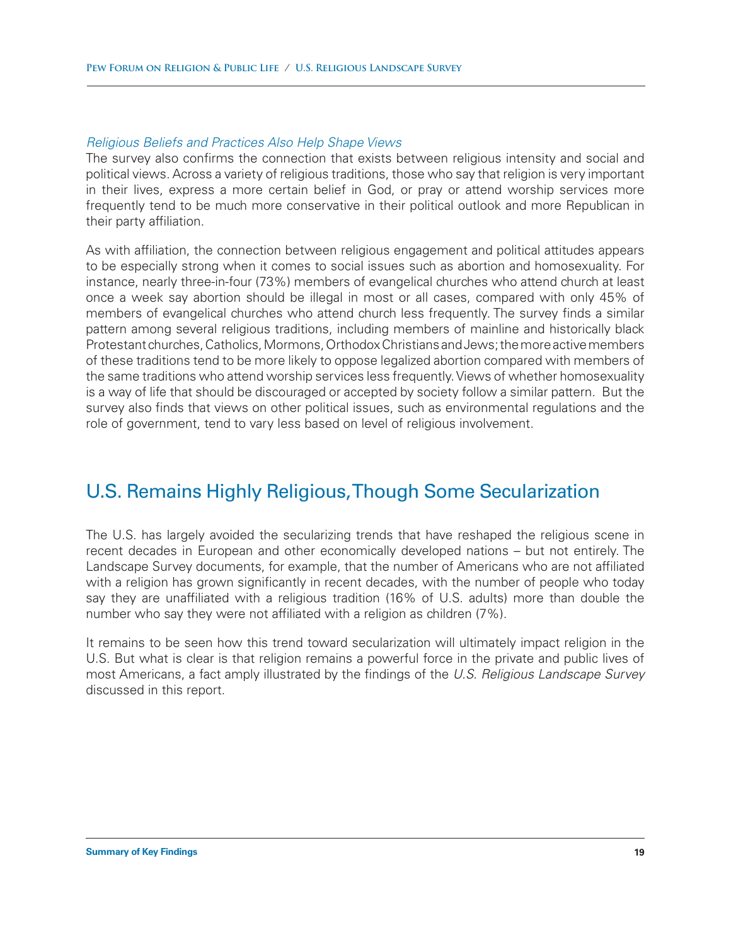#### *Religious Beliefs and Practices Also Help Shape Views*

The survey also confirms the connection that exists between religious intensity and social and political views. Across a variety of religious traditions, those who say that religion is very important in their lives, express a more certain belief in God, or pray or attend worship services more frequently tend to be much more conservative in their political outlook and more Republican in their party affiliation.

As with affiliation, the connection between religious engagement and political attitudes appears to be especially strong when it comes to social issues such as abortion and homosexuality. For instance, nearly three-in-four (73%) members of evangelical churches who attend church at least once a week say abortion should be illegal in most or all cases, compared with only 45% of members of evangelical churches who attend church less frequently. The survey finds a similar pattern among several religious traditions, including members of mainline and historically black Protestant churches, Catholics, Mormons, Orthodox Christians and Jews; the more active members of these traditions tend to be more likely to oppose legalized abortion compared with members of the same traditions who attend worship services less frequently. Views of whether homosexuality is a way of life that should be discouraged or accepted by society follow a similar pattern. But the survey also finds that views on other political issues, such as environmental regulations and the role of government, tend to vary less based on level of religious involvement.

### U.S. Remains Highly Religious, Though Some Secularization

The U.S. has largely avoided the secularizing trends that have reshaped the religious scene in recent decades in European and other economically developed nations – but not entirely. The Landscape Survey documents, for example, that the number of Americans who are not affiliated with a religion has grown significantly in recent decades, with the number of people who today say they are unaffiliated with a religious tradition (16% of U.S. adults) more than double the number who say they were not affiliated with a religion as children (7%).

It remains to be seen how this trend toward secularization will ultimately impact religion in the U.S. But what is clear is that religion remains a powerful force in the private and public lives of most Americans, a fact amply illustrated by the findings of the *U.S. Religious Landscape Survey* discussed in this report.